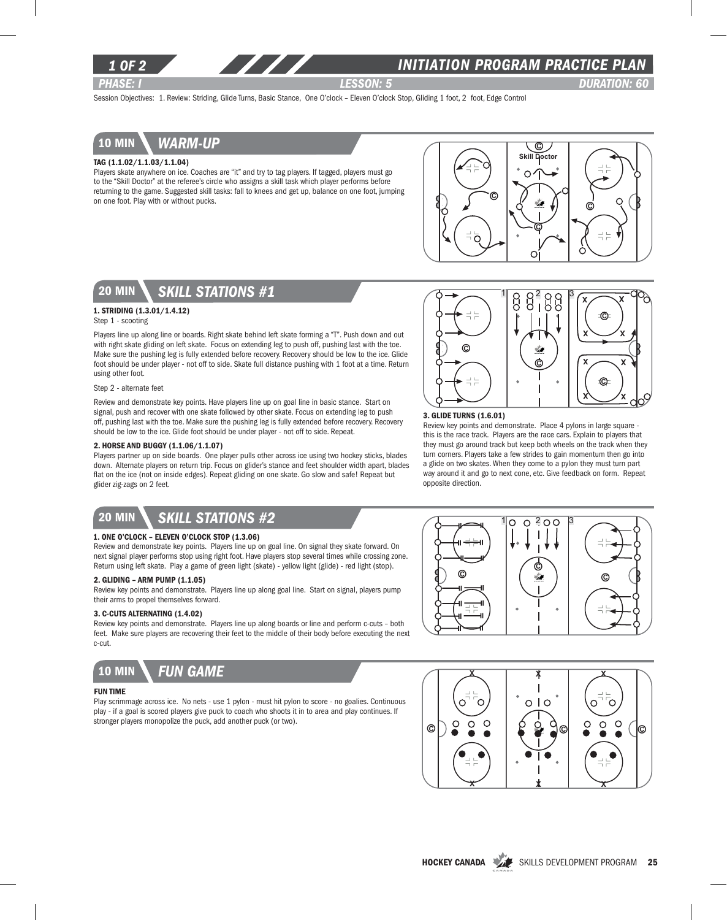

### *1 of 2 INITIATION program PRACTICE PLAN*

*PHASE: I lesson: 5 DURATION: 60* 

<u>ා</u>

 $x \sim x$ 

 $x \diagup x$ 

C

x

x

Session Objectives: 1. Review: Striding, Glide Turns, Basic Stance, One O'clock – Eleven O'clock Stop, Gliding 1 foot, 2 foot, Edge Control

### 10 min *warm-up*

#### Tag (1.1.02/1.1.03/1.1.04)

Players skate anywhere on ice. Coaches are "it" and try to tag players. If tagged, players must go to the "Skill Doctor" at the referee's circle who assigns a skill task which player performs before returning to the game. Suggested skill tasks: fall to knees and get up, balance on one foot, jumping on one foot. Play with or without pucks.



# 20 min *skill stations #1*

### 1. Striding (1.3.01/1.4.12)

Step 1 - scooting

Players line up along line or boards. Right skate behind left skate forming a "T". Push down and out with right skate gliding on left skate. Focus on extending leg to push off, pushing last with the toe. Make sure the pushing leg is fully extended before recovery. Recovery should be low to the ice. Glide foot should be under player - not off to side. Skate full distance pushing with 1 foot at a time. Return using other foot.

#### Step 2 - alternate feet

Review and demonstrate key points. Have players line up on goal line in basic stance. Start on signal, push and recover with one skate followed by other skate. Focus on extending leg to push off, pushing last with the toe. Make sure the pushing leg is fully extended before recovery. Recovery should be low to the ice. Glide foot should be under player - not off to side. Repeat.

### 2. Horse and Buggy (1.1.06/1.1.07)

Players partner up on side boards. One player pulls other across ice using two hockey sticks, blades down. Alternate players on return trip. Focus on glider's stance and feet shoulder width apart, blades flat on the ice (not on inside edges). Repeat gliding on one skate. Go slow and safe! Repeat but glider zig-zags on 2 feet.

# 20 min *skill stations #2*

#### 1. One O'clock – Eleven O'clock Stop (1.3.06)

Review and demonstrate key points. Players line up on goal line. On signal they skate forward. On next signal player performs stop using right foot. Have players stop several times while crossing zone. Return using left skate. Play a game of green light (skate) - yellow light (glide) - red light (stop).

### 2. Gliding – Arm Pump (1.1.05)

Review key points and demonstrate. Players line up along goal line. Start on signal, players pump their arms to propel themselves forward.

#### 3. C-Cuts Alternating (1.4.02)

Review key points and demonstrate. Players line up along boards or line and perform c-cuts – both feet. Make sure players are recovering their feet to the middle of their body before executing the next c-cut.



#### Fun time

Play scrimmage across ice. No nets - use 1 pylon - must hit pylon to score - no goalies. Continuous play - if a goal is scored players give puck to coach who shoots it in to area and play continues. If stronger players monopolize the puck, add another puck (or two).



Review key points and demonstrate. Place 4 pylons in large square this is the race track. Players are the race cars. Explain to players that they must go around track but keep both wheels on the track when they turn corners. Players take a few strides to gain momentum then go into a glide on two skates. When they come to a pylon they must turn part way around it and go to next cone, etc. Give feedback on form. Repeat

C

3. Glide Turns (1.6.01)

Õ

d !

opposite direction.